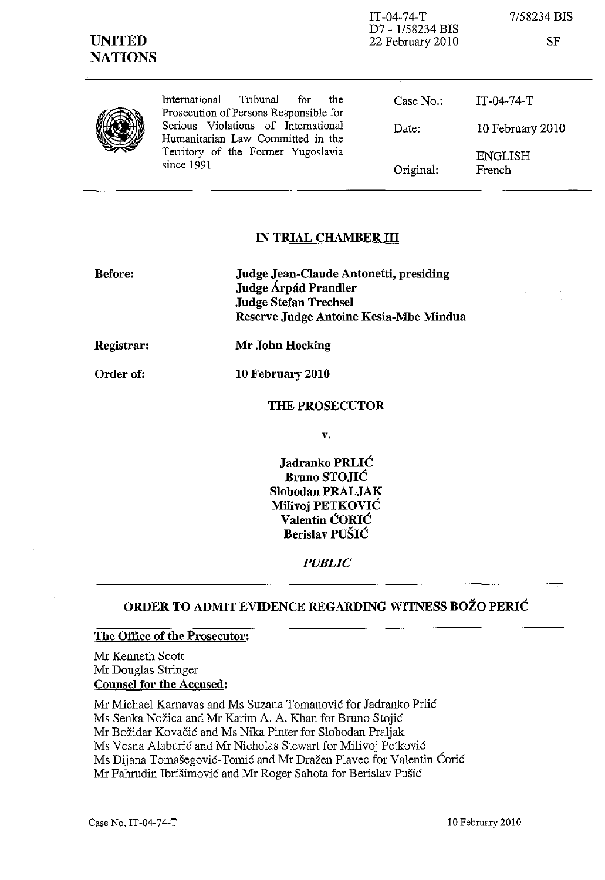| <b>UNITED</b><br><b>NATIONS</b> |                                                                                                                              | $IT-04-74-T$<br>D7 - 1/58234 BIS<br>22 February 2010 | 7/58234 BIS<br>SF        |
|---------------------------------|------------------------------------------------------------------------------------------------------------------------------|------------------------------------------------------|--------------------------|
|                                 | Tribunal for<br>International<br>the<br>Prosecution of Persons Responsible for                                               | Case $No.$ :                                         | $IT-04-74-T$             |
|                                 | Serious Violations of International<br>Humanitarian Law Committed in the<br>Territory of the Former Yugoslavia<br>since 1991 | Date:                                                | 10 February 2010         |
|                                 |                                                                                                                              | Original:                                            | <b>ENGLISH</b><br>French |

### **IN TRIAL CHAMBER III**

| <b>Before:</b> | <b>Judge Jean-Claude Antonetti, presiding</b><br>Judge Árpád Prandler<br><b>Judge Stefan Trechsel</b><br>Reserve Judge Antoine Kesia-Mbe Mindua |
|----------------|-------------------------------------------------------------------------------------------------------------------------------------------------|
| Registrar:     | Mr John Hocking                                                                                                                                 |
| Order of:      | 10 February 2010                                                                                                                                |

**THE PROSECUTOR** 

v.

**Jadranko** PRLIĆ **Bruno** STOJIĆ **Slobodan PRALJAK Milivoj** PETKOVIĆ **Valentin** ĆORIĆ **Berislav** PUŠIĆ

#### *PUBLIC*

## **ORDER TO ADMIT EVIDENCE REGARDING WITNESS BOŽO** PERIĆ

#### **The Office of the Prosecutor:**

Mr Kenneth Scott Mr Douglas Stringer **Counsel for the Accused:** 

Mr Michael Karnavas and Ms Suzana Tomanović for Jadranko Prlić Ms Senka Nožica and Mr Karim A. A. Khan for Bruno Stojić Mr Božidar Kovačić and Ms Nika Pinter for Slobodan Praljak Ms Vesna Alaburić and Mr Nicholas Stewart for Milivoj Petković Ms Dijana Tomašegović-Tomić and Mr Dražen Plavec for Valentin Ćorić Mr Fahrudin Ibrišimović and Mr Roger Sahota for Berislav Pušić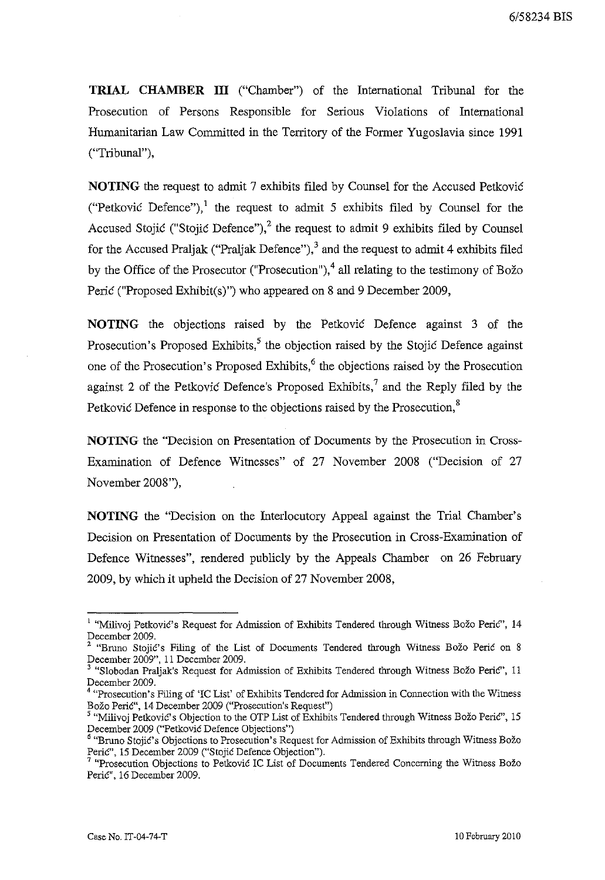**TRIAL CHAMBER ill** ("Chamber") of the International Tribunal for the Prosecution of Persons Responsible for Serious Violations of International Humanitarian Law Committed in the Territory of the Former Yugoslavia since 1991 ("Tribunal"),

**NOTING** the request to admit 7 exhibits filed by Counsel for the Accused Petković ("Petković Defence"),<sup>1</sup> the request to admit 5 exhibits filed by Counsel for the Accused Stojić ("Stojić Defence"), $^2$  the request to admit 9 exhibits filed by Counsel for the Accused Praljak ("Praljak Defence"),  $3$  and the request to admit 4 exhibits filed by the Office of the Prosecutor ("Prosecution"),  $4$  all relating to the testimony of Božo Perić ("Proposed Exhibit(s)") who appeared on 8 and 9 December 2009,

**NOTING** the objections raised by the Petković Defence against 3 of the Prosecution's Proposed Exhibits, $5$  the objection raised by the Stojić Defence against one of the Prosecution's Proposed Exhibits,<sup>6</sup> the objections raised by the Prosecution against 2 of the Petković Defence's Proposed Exhibits,<sup>7</sup> and the Reply filed by the Petković Defence in response to the objections raised by the Prosecution,<sup>8</sup>

**NOTING** the "Decision on Presentation of Documents by the Prosecution in Cross-Examination of Defence Witnesses" of 27 November 2008 ("Decision of 27 November 2008"),

**NOTING** the "Decision on the Interlocutory Appeal against the Trial Chamber's Decision on Presentation of Documents by the Prosecution in Cross-Examination of Defence Witnesses", rendered publicly by the Appeals Chamber on 26 February 2009, by which it upheld the Decision of 27 November 2008,

<sup>&</sup>lt;sup>1</sup> "Milivoj Petković's Request for Admission of Exhibits Tendered through Witness Božo Perić", 14 December 2009.

<sup>&</sup>lt;sup>2</sup> "Bruno Stojić's Filing of the List of Documents Tendered through Witness Božo Perić on 8 December 2009", 11 December 2009.

 $3$  "Slobodan Praljak's Request for Admission of Exhibits Tendered through Witness Božo Perić", 11 December 2009.

 $4$  "Prosecution's Filing of 'IC List' of Exhibits Tendered for Admission in Connection with the Witness Božo Perić", 14 December 2009 ("Prosecution's Request")

<sup>&</sup>lt;sup>5</sup> "Milivoj Petković's Objection to the OTP List of Exhibits Tendered through Witness Božo Perić", 15 December 2009 ("Petković Defence Objections")

<sup>&</sup>lt;sup>6</sup> "Bruno Stojić's Objections to Prosecution's Request for Admission of Exhibits through Witness Božo Perić", 15 December 2009 ("Stojić Defence Objection").

<sup>&</sup>lt;sup>7</sup> "Prosecution Objections to Petković IC List of Documents Tendered Concerning the Witness Božo Perić", 16 December 2009.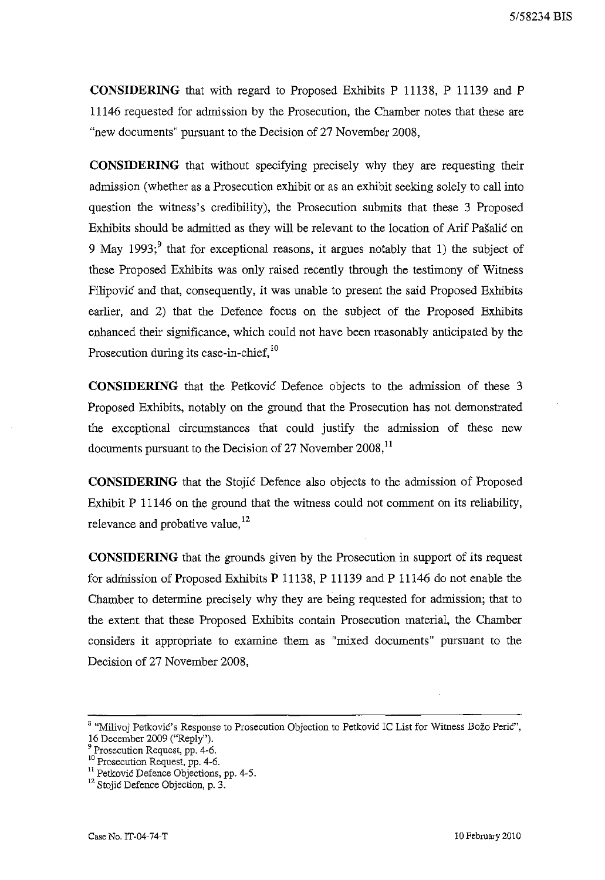**CONSIDERING** that with regard to Proposed Exhibits P 11138, P 11139 and P 11146 requested for admission by the Prosecution, the Chamber notes that these are "new documents" pursuant to the Decision of 27 November 2008,

**CONSIDERING** that without specifying precisely why they are requesting their admission (whether as a Prosecution exhibit or as an exhibit seeking solely to call into question the witness's credibility), the Prosecution submits that these 3 Proposed Exhibits should be admitted as they will be relevant to the location of Arif Pašalić on 9 May 1993;<sup>9</sup> that for exceptional reasons, it argues notably that 1) the subject of these Proposed Exhibits was only raised recently through the testimony of Witness Filipović and that, consequently, it was unable to present the said Proposed Exhibits earlier, and 2) that the Defence focus on the subject of the Proposed Exhibits enhanced their significance, which could not have been reasonably anticipated by the Prosecution during its case-in-chief,<sup>10</sup>

**CONSIDERING** that the Petković Defence objects to the admission of these 3 Proposed Exhibits, notably on the ground that the Prosecution has not demonstrated the exceptional circumstances that could justify the admission of these new documents pursuant to the Decision of 27 November  $2008$ ,<sup>11</sup>

**CONSIDERING** that the Stojić Defence also objects to the admission of Proposed Exhibit P 11146 on the ground that the witness could not comment on its reliability, relevance and probative value,  $12$ 

**CONSIDERING** that the grounds given by the Prosecution in support of its request for admission of Proposed Exhibits P 11138, P 11139 and P 11146 do not enable the Chamber to determine precisely why they are being requested for admission; that to the extent that these Proposed Exhibits contain Prosecution material, the Chamber considers it appropriate to examine them as "mixed documents" pursuant to the Decision of 27 November 2008,

<sup>&</sup>lt;sup>8</sup> "Milivoj Petković's Response to Prosecution Objection to Petković IC List for Witness Božo Perić", 16 December 2009 ("Reply").

<sup>&</sup>lt;sup>9</sup> Prosecution Request, pp. 4-6.

<sup>&</sup>lt;sup>10</sup> Prosecution Request, pp. 4-6.

<sup>&</sup>lt;sup>11</sup> Petković Defence Objections, pp. 4-5.

<sup>&</sup>lt;sup>12</sup> Stojić Defence Objection, p. 3.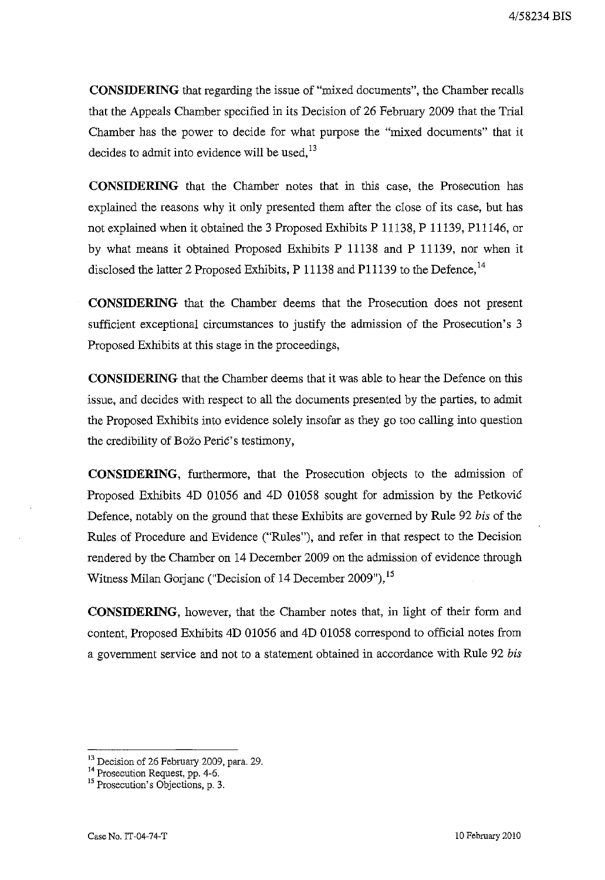**CONSIDERING** that regarding the issue of "mixed documents", the Chamber recalis that the Appeals Chamber specified in its Decision of 26 February 2009 that the Trial Chamber has the power to decide for what purpose the "mixed documents" that it decides to admit into evidence will be used, $^{13}$ 

**CONSIDERING** that the Chamber notes that in this case, the Prosecution has explained the reasons why it only presented them after the close of its case, but has not explained when it obtained the 3 Proposed Exhibits P 11138, P 11139, PI1146, or by what means it obtained Proposed Exhibits P 11138 and P 11139, nor when it disclosed the latter 2 Proposed Exhibits, P 11138 and P11139 to the Defence, <sup>14</sup>

**CONSIDERING** that the Chamber deems that the Prosecution does not present sufficient exceptional circumstances to justify the admission of the Prosecution's 3 Proposed Exhibits at this stage in the proceedings,

**CONSIDERING** that the Chamber deems that it was able to hear the Defence on this issue, and decides with respect to all the documents presented by the parties, to admit the Proposed Exhibits into evidence solely insofar as they go too calling into question the credibility of Božo Perić' s testimony,

**CONSIDERING,** furthermore, that the Prosecution objects to the admission of Proposed Exhibits 4D 01056 and 4D 01058 sought for admission by the Petković Defence, notably on the ground that these Exhibits are governed by Rule 92 *bis* of the Rules of Procedure and Evidence ("Rules"), and refer in that respect to the Decision rendered by the Chamber on 14 December 2009 on the admission of evidence through Witness Milan Gorjanc ("Decision of 14 December 2009"),<sup>15</sup>

**CONSIDERING,** however, that the Chamber notes that, in light of their form and content, Proposed Exhibits 4D 01056 and 4D 01058 correspond to official notes from a government service and not to a statement obtained in accordance with Rule 92 *bis* 

<sup>&</sup>lt;sup>13</sup> Decision of 26 February 2009, para. 29.

<sup>&</sup>lt;sup>14</sup> Prosecution Request, pp. 4-6.

<sup>&</sup>lt;sup>15</sup> Prosecution's Objections, p. 3.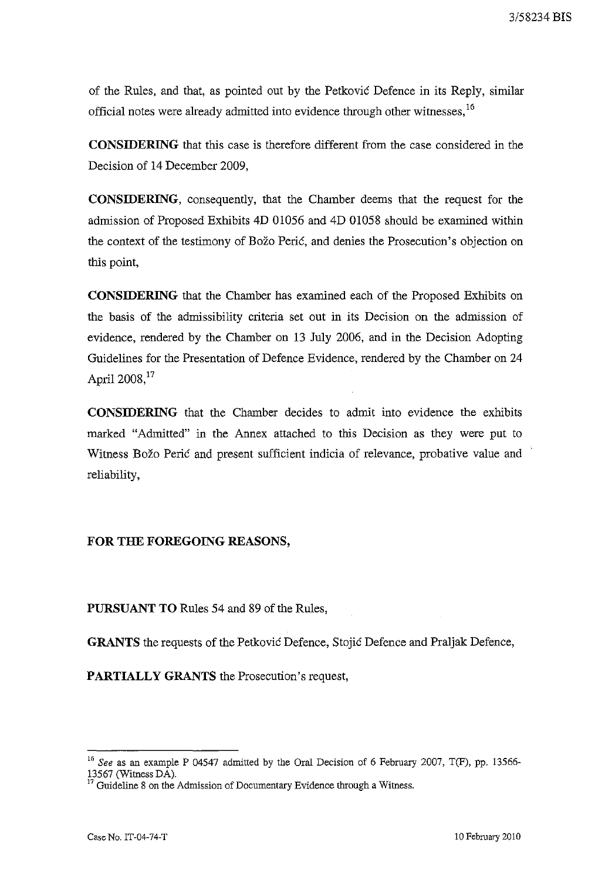of the Rules, and that, as pointed out by the Petković Defence in its Reply, similar official notes were already admitted into evidence through other witnesses,<sup>16</sup>

**CONSIDERING** that this case is therefore different from the case considered in the Decision of 14 December 2009,

**CONSIDERING,** consequently, that the Chamber deems that the request for the admission of Proposed Exhibits 4D 01056 and 4D 01058 should be examined within the context of the testimony of Božo Perić, and denies the Prosecution's objection on this point,

**CONSIDERING** that the Chamber has examined each of the Proposed Exhibits on the basis of the admissibility criteria set out in its Decision on the admission of evidence, rendered by the Chamber on 13 July 2006, and in the Decision Adopting Guidelines for the Presentation of Defence Evidence, rendered by the Chamber on 24 April 2008,<sup>17</sup>

**CONSIDERING** that the Chamber decides to admit into evidence the exhibits marked "Admitted" in the Annex attached to this Decision as they were put to Witness Božo Perić and present sufficient indicia of relevance, probative value and reliability,

#### **FOR THE FOREGOING REASONS,**

**PURSUANT TO** Rules 54 and 89 of the Rules,

**GRANTS** the requests of the Petković Defence, Stojić Defence and Praljak Defence,

**PARTIALLY GRANTS** the Prosecution's request,

<sup>&</sup>lt;sup>16</sup> See as an example P 04547 admitted by the Oral Decision of 6 February 2007, T(F), pp. 13566-13567 (Witness DA).

Guideline 8 on the Admission of Documentary Evidence through a Witness.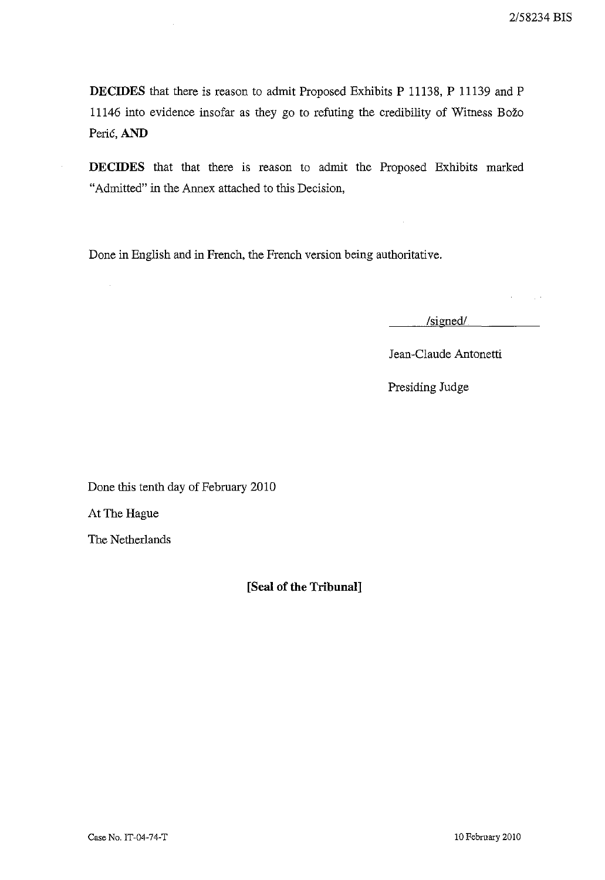**DECIDES** that there is reason to admit Proposed Exhibits P 11138, P 11139 and P 11146 into evidence insofar as they go to refuting the credibility of Witness Božo Perić, AND

**DECIDES** that that there is reason to admit the Proposed Exhibits marked "Admitted" in the Annex attached to this Decision,

Done in English and in French, the French version being authoritative.

*Isignedl* 

Jean-Claude Antonetti

Presiding Judge

Done this tenth day of February 2010

At The Hague

 $\sim$ 

The Netherlands

**[Seal of the Tribunal]**